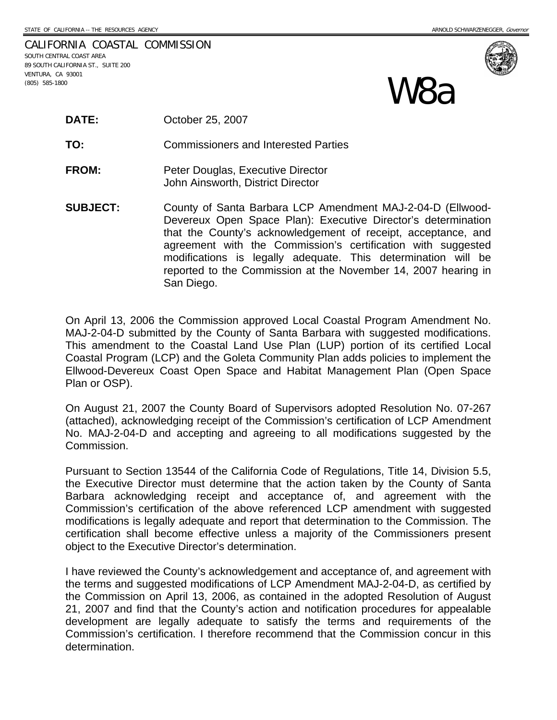CALIFORNIA COASTAL COMMISSION SOUTH CENTRAL COAST AREA 89 SOUTH CALIFORNIA ST., SUITE 200 VENTURA, CA 93001  $\mathbf{M}$ **a**  $\mathbf{S}$ 



**TO:** Commissioners and Interested Parties

- **FROM:** Peter Douglas, Executive Director John Ainsworth, District Director
- **SUBJECT:** County of Santa Barbara LCP Amendment MAJ-2-04-D (Ellwood-Devereux Open Space Plan): Executive Director's determination that the County's acknowledgement of receipt, acceptance, and agreement with the Commission's certification with suggested modifications is legally adequate. This determination will be reported to the Commission at the November 14, 2007 hearing in San Diego.

On April 13, 2006 the Commission approved Local Coastal Program Amendment No. MAJ-2-04-D submitted by the County of Santa Barbara with suggested modifications. This amendment to the Coastal Land Use Plan (LUP) portion of its certified Local Coastal Program (LCP) and the Goleta Community Plan adds policies to implement the Ellwood-Devereux Coast Open Space and Habitat Management Plan (Open Space Plan or OSP).

On August 21, 2007 the County Board of Supervisors adopted Resolution No. 07-267 (attached), acknowledging receipt of the Commission's certification of LCP Amendment No. MAJ-2-04-D and accepting and agreeing to all modifications suggested by the Commission.

Pursuant to Section 13544 of the California Code of Regulations, Title 14, Division 5.5, the Executive Director must determine that the action taken by the County of Santa Barbara acknowledging receipt and acceptance of, and agreement with the Commission's certification of the above referenced LCP amendment with suggested modifications is legally adequate and report that determination to the Commission. The certification shall become effective unless a majority of the Commissioners present object to the Executive Director's determination.

I have reviewed the County's acknowledgement and acceptance of, and agreement with the terms and suggested modifications of LCP Amendment MAJ-2-04-D, as certified by the Commission on April 13, 2006, as contained in the adopted Resolution of August 21, 2007 and find that the County's action and notification procedures for appealable development are legally adequate to satisfy the terms and requirements of the Commission's certification. I therefore recommend that the Commission concur in this determination.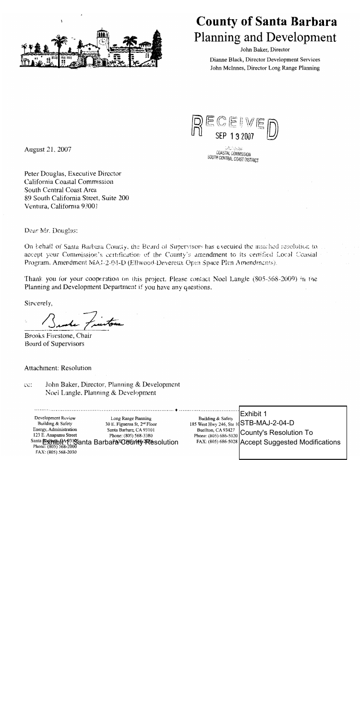

# **County of Santa Barbara Planning and Development**

John Baker, Director

Dianne Black, Director Development Services John McInnes, Director Long Range Planning



AU John **COASTAL COMMISSION** SOUTH CENTRAL COAST DISTRICT

August 21, 2007

Peter Douglas, Executive Director California Coastal Commission South Central Coast Area 89 South California Street, Suite 200 Ventura, California 93001

Dear Mr. Douglas:

On behalf of Santa Barbara County, the Beard of Supervisors has executed the attached resolution to. accept your Commission's certification of the County's amendment to its certified Local Coastal Program, Amendment MAJ-2-04-D (Ellwood-Devereux Open Space Plan Amendmants).

Thank you for your cooperation on this project. Please contact Noel Langle (805-568-2009) in the Planning and Development Department if you have any questions.

Sincerely,

Brooks Firestone, Chair Board of Supervisors

**Attachment: Resolution** 

John Baker, Director, Planning & Development cc: Noel Langle, Planning & Development

Long Range Planning Development Review Building & Safety 30 E. Figueroa St, 2<sup>nd</sup> Floor Energy, Administration Santa Barbara, CA 93101 123 E. Anapamu Street Phone: (805) 568-3380 Santa Barbart Garbart Barbara Barbart Plesolution FAX: (805) 568-2030

Exhibit 1 Building & Safety STB-MAJ-2-04-D 185 West Hwy 246, Ste Buellton, CA 93427 **County's Resolution To** Phone: (805) 686-5020 FAX: (805) 686-5028 **Accept Suggested Modifications**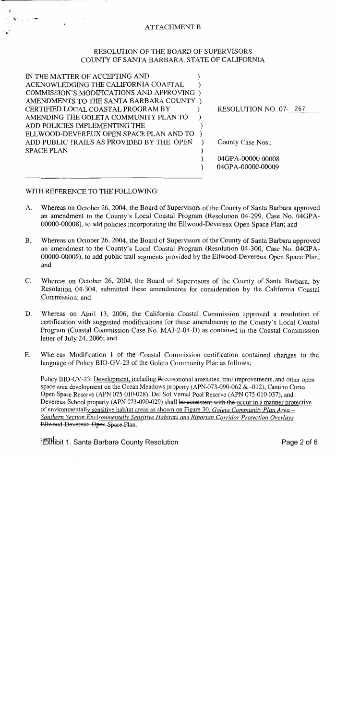### **ATTACHMENT B**

### RESOLUTION OF THE BOARD OF SUPERVISORS COUNTY OF SANTA BARBARA, STATE OF CALIFORNIA

IN THE MATTER OF ACCEPTING AND  $\lambda$ ACKNOWLEDGING THE CALIFORNIA COASTAL  $\lambda$ COMMISSION'S MODIFICATIONS AND APPROVING) AMENDMENTS TO THE SANTA BARBARA COUNTY) CERTIFIED LOCAL COASTAL PROGRAM BY  $\lambda$ AMENDING THE GOLETA COMMUNITY PLAN TO  $\lambda$ ADD POLICIES IMPLEMENTING THE  $\lambda$ ELLWOOD-DEVEREUX OPEN SPACE PLAN AND TO  $\rightarrow$ ADD PUBLIC TRAILS AS PROVIDED BY THE OPEN  $\mathcal{E}$ **SPACE PLAN**  $\lambda$  $\mathcal{E}$ 

RESOLUTION NO. 07-267

County Case Nos.:

04GPA-00000-00008 04GPA-00000-00009

### WITH REFERENCE TO THE FOLLOWING:

A. Whereas on October 26, 2004, the Board of Supervisors of the County of Santa Barbara approved an amendment to the County's Local Coastal Program (Resolution 04-299, Case No. 04GPA-00000-00008), to add policies incorporating the Ellwood-Devereux Open Space Plan; and

 $\lambda$ 

- Whereas on October 26, 2004, the Board of Supervisors of the County of Santa Barbara approved **B.** an amendment to the County's Local Coastal Program (Resolution 04-300, Case No. 04GPA-00000-00009), to add public trail segments provided by the Ellwood-Devereux Open Space Plan; and
- $\mathsf{C}$ . Whereas on October 26, 2004, the Board of Supervisors of the County of Santa Barbara, by Resolution 04-304, submitted these amendments for consideration by the California Coastal Commission; and
- D. Whereas on April 13, 2006, the California Coastal Commission approved a resolution of certification with suggested modifications for these amendments to the County's Local Coastal Program (Coastal Commission Case No. MAJ-2-04-D) as contained in the Coastal Commission letter of July 24, 2006; and
- $E_{\rm c}$ Whereas Modification 1 of the Coastal Commission certification contained changes to the language of Policy BIO-GV-23 of the Goleta Community Plan as follows;

Policy BIO-GV-23: Development, including Recreational amenities, trail improvements, and other open space area development on the Ocean Meadows property (APN-073-090-062 & -012), Camino Corto Open Space Reserve (APN 075-010-028), Del Sol Vernal Pool Reserve (APN 075-010-037), and Devereux School property (APN 073-090-029) shall be consistent with the occur in a manner protective of environmentally sensitive habitat areas as shown on Figure 30, Goleta Community Plan Area -Southern Section Environmentally Sensitive Habitats and Riparian Corridor Protection Overlays Ellwood Devereux Open Space Plan.

<sup>; and</sup>ibit 1. Santa Barbara County Resolution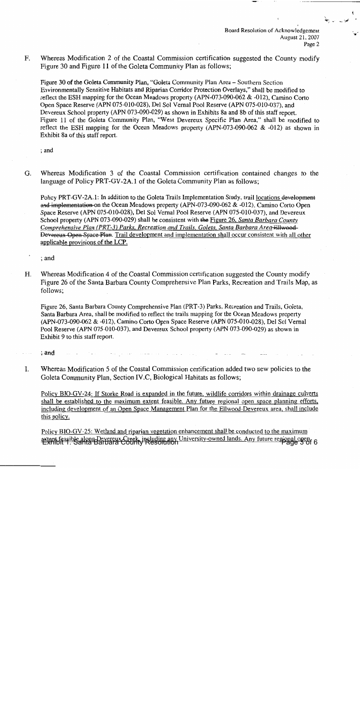Board Resolution of Acknowledgement August 21, 2007 Page 2

 $F<sub>r</sub>$ Whereas Modification 2 of the Coastal Commission certification suggested the County modify Figure 30 and Figure 11 of the Goleta Community Plan as follows:

Figure 30 of the Goleta Community Plan, "Goleta Community Plan Area – Southern Section Environmentally Sensitive Habitats and Riparian Corridor Protection Overlays," shall be modified to reflect the ESH mapping for the Ocean Meadows property (APN-073-090-062 & -012), Camino Corto Open Space Reserve (APN 075-010-028), Del Sol Vernal Pool Reserve (APN 075-010-037), and Devereux School property (APN 073-090-029) as shown in Exhibits 8a and 8b of this staff report. Figure 11 of the Goleta Community Plan, "West Devereux Specific Plan Area," shall be modified to reflect the ESH mapping for the Ocean Meadows property (APN-073-090-062 & -012) as shown in Exhibit 8a of this staff report.

: and

 $G<sub>r</sub>$ Whereas Modification 3 of the Coastal Commission certification contained changes to the language of Policy PRT-GV-2A.1 of the Goleta Community Plan as follows;

Policy PRT-GV-2A.1: In addition to the Goleta Trails Implementation Study, trail locations development and implementation on the Ocean Meadows property (APN-073-090-062 & -012), Camino Corto Open Space Reserve (APN 075-010-028), Del Sol Vernal Pool Reserve (APN 075-010-037), and Devereux School property (APN 073-090-029) shall be consistent with the Figure 26, Santa Barbara County Comprehensive Plan (PRT-3) Parks, Recreation and Trails, Goleta, Santa Barbara Area-Ellwood-Devereux Open Space Plan. Trail development and implementation shall occur consistent with all other applicable provisions of the LCP.

; and

Whereas Modification 4 of the Coastal Commission certification suggested the County modify  $H_{\cdot}$ Figure 26 of the Santa Barbara County Comprehensive Plan Parks, Recreation and Trails Map, as follows:

Figure 26, Santa Barbara County Comprehensive Plan (PRT-3) Parks, Recreation and Trails, Goleta, Santa Barbara Area, shall be modified to reflect the trails mapping for the Ocean Meadows property (APN-073-090-062 & -012), Camino Corto Open Space Reserve (APN 075-010-028), Del Sol Vernal Pool Reserve (APN 075-010-037), and Devereux School property (APN 073-090-029) as shown in Exhibit 9 to this staff report.

: and

I. Whereas Modification 5 of the Coastal Commission certification added two new policies to the Goleta Community Plan, Section IV.C, Biological Habitats as follows;

Policy BIO-GV-24: If Storke Road is expanded in the future, wildlife corridors within drainage culverts shall be established to the maximum extent feasible. Any future regional open space planning efforts, including development of an Open Space Management Plan for the Ellwood-Devereux area, shall include this policy.

Policy BIO-GV-25: Wetland and riparian vegetation enhancement shall be conducted to the maximum extent feasible along Devereux Creek, including any University-owned lands. Any future regional open, 6<br>Exhibit 1. Santa Barbara County Resolution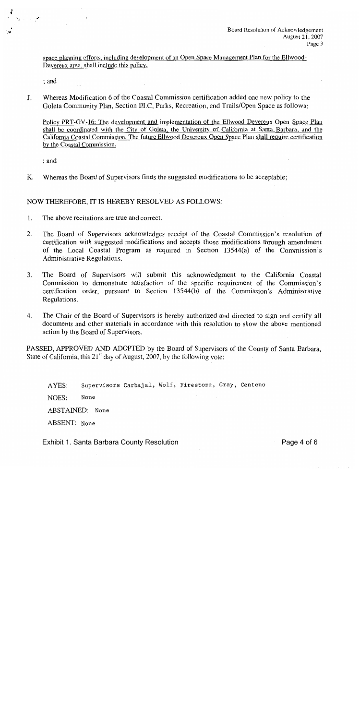space planning efforts, including development of an Open Space Management Plan for the Ellwood-Devereux area, shall include this policy.

; and

Whereas Modification 6 of the Coastal Commission certification added one new policy to the J. Goleta Community Plan, Section III.C, Parks, Recreation, and Trails/Open Space as follows;

Policy PRT-GV-16: The development and implementation of the Ellwood Devereux Open Space Plan shall be coordinated with the City of Goleta, the University of California at Santa Barbara, and the California Coastal Commission. The future Ellwood Devereux Open Space Plan shall require certification by the Coastal Commission.

 $;$  and

Κ. Whereas the Board of Supervisors finds the suggested modifications to be acceptable;

### NOW THEREFORE, IT IS HEREBY RESOLVED AS FOLLOWS:

- $1.$ The above recitations are true and correct.
- The Board of Supervisors acknowledges receipt of the Coastal Commission's resolution of 2. certification with suggested modifications and accepts those modifications through amendment of the Local Coastal Program as required in Section 13544(a) of the Commission's Administrative Regulations.
- The Board of Supervisors will submit this acknowledgment to the California Coastal 3. Commission to demonstrate satisfaction of the specific requirement of the Commission's certification order, pursuant to Section 13544(b) of the Commission's Administrative Regulations.
- 4. The Chair of the Board of Supervisors is hereby authorized and directed to sign and certify all documents and other materials in accordance with this resolution to show the above mentioned action by the Board of Supervisors.

PASSED, APPROVED AND ADOPTED by the Board of Supervisors of the County of Santa Barbara, State of California, this  $21<sup>st</sup>$  day of August, 2007, by the following vote:

Supervisors Carbajal, Wolf, Firestone, Gray, Centeno AYES: None NOES: ABSTAINED: None ABSENT: None

**Exhibit 1. Santa Barbara County Resolution**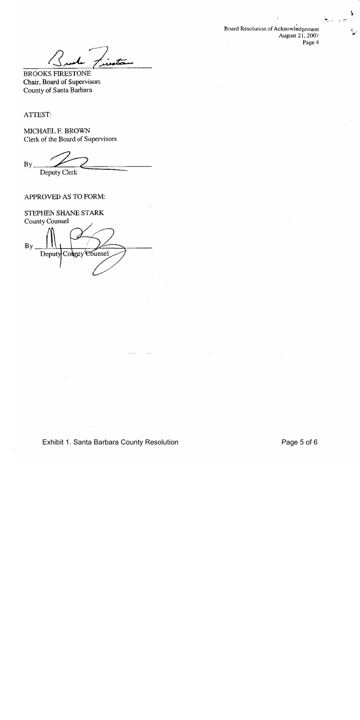Board Resolution of Acknowledgement August 21, 2007 Page 4

ush Lisaton

**BROOKS FIRESTONE** Chair, Board of Supervisors County of Santa Barbara

ATTEST:

MICHAEL F. BROWN Clerk of the Board of Supervisors

 $By$ Deputy Clerk

### APPROVED AS TO FORM:

STEPHEN SHANE STARK County Counsel  $Bv$ Deputy County Counsel